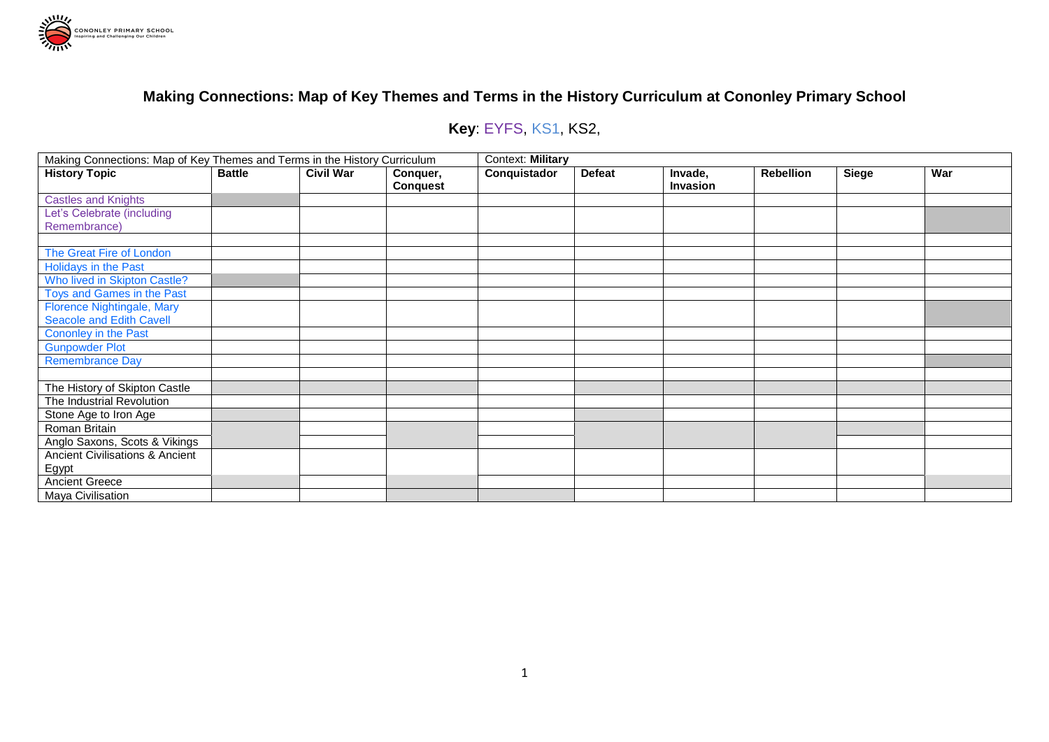

# **Key**: EYFS, KS1, KS2,

| Making Connections: Map of Key Themes and Terms in the History Curriculum |               |                  |                 | Context: Military |               |                 |                  |              |     |  |
|---------------------------------------------------------------------------|---------------|------------------|-----------------|-------------------|---------------|-----------------|------------------|--------------|-----|--|
| <b>History Topic</b>                                                      | <b>Battle</b> | <b>Civil War</b> | Conquer,        | Conquistador      | <b>Defeat</b> | Invade,         | <b>Rebellion</b> | <b>Siege</b> | War |  |
|                                                                           |               |                  | <b>Conquest</b> |                   |               | <b>Invasion</b> |                  |              |     |  |
| <b>Castles and Knights</b>                                                |               |                  |                 |                   |               |                 |                  |              |     |  |
| Let's Celebrate (including                                                |               |                  |                 |                   |               |                 |                  |              |     |  |
| Remembrance)                                                              |               |                  |                 |                   |               |                 |                  |              |     |  |
|                                                                           |               |                  |                 |                   |               |                 |                  |              |     |  |
| The Great Fire of London                                                  |               |                  |                 |                   |               |                 |                  |              |     |  |
| Holidays in the Past                                                      |               |                  |                 |                   |               |                 |                  |              |     |  |
| Who lived in Skipton Castle?                                              |               |                  |                 |                   |               |                 |                  |              |     |  |
| Toys and Games in the Past                                                |               |                  |                 |                   |               |                 |                  |              |     |  |
| <b>Florence Nightingale, Mary</b>                                         |               |                  |                 |                   |               |                 |                  |              |     |  |
| Seacole and Edith Cavell                                                  |               |                  |                 |                   |               |                 |                  |              |     |  |
| Cononley in the Past                                                      |               |                  |                 |                   |               |                 |                  |              |     |  |
| <b>Gunpowder Plot</b>                                                     |               |                  |                 |                   |               |                 |                  |              |     |  |
| <b>Remembrance Day</b>                                                    |               |                  |                 |                   |               |                 |                  |              |     |  |
|                                                                           |               |                  |                 |                   |               |                 |                  |              |     |  |
| The History of Skipton Castle                                             |               |                  |                 |                   |               |                 |                  |              |     |  |
| The Industrial Revolution                                                 |               |                  |                 |                   |               |                 |                  |              |     |  |
| Stone Age to Iron Age                                                     |               |                  |                 |                   |               |                 |                  |              |     |  |
| Roman Britain                                                             |               |                  |                 |                   |               |                 |                  |              |     |  |
| Anglo Saxons, Scots & Vikings                                             |               |                  |                 |                   |               |                 |                  |              |     |  |
| Ancient Civilisations & Ancient                                           |               |                  |                 |                   |               |                 |                  |              |     |  |
| Egypt                                                                     |               |                  |                 |                   |               |                 |                  |              |     |  |
| <b>Ancient Greece</b>                                                     |               |                  |                 |                   |               |                 |                  |              |     |  |
| Maya Civilisation                                                         |               |                  |                 |                   |               |                 |                  |              |     |  |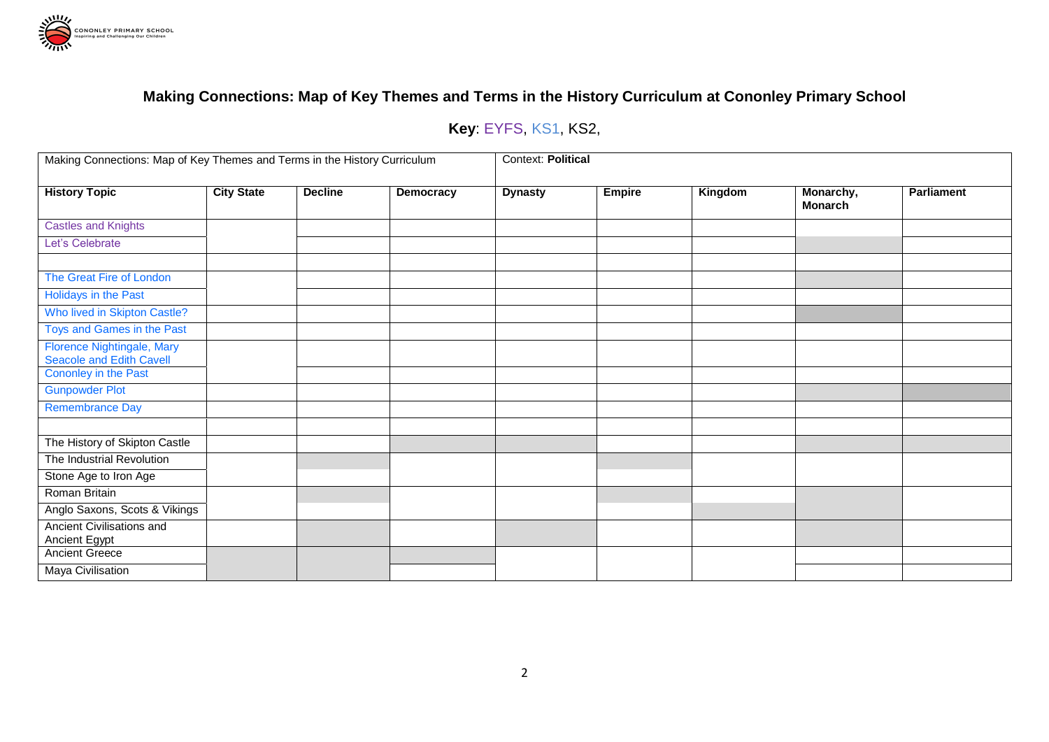

# **Key**: EYFS, KS1, KS2,

| Making Connections: Map of Key Themes and Terms in the History Curriculum |                   |                |           | Context: Political |               |         |                             |                   |  |  |
|---------------------------------------------------------------------------|-------------------|----------------|-----------|--------------------|---------------|---------|-----------------------------|-------------------|--|--|
| <b>History Topic</b>                                                      | <b>City State</b> | <b>Decline</b> | Democracy | <b>Dynasty</b>     | <b>Empire</b> | Kingdom | Monarchy,<br><b>Monarch</b> | <b>Parliament</b> |  |  |
| <b>Castles and Knights</b>                                                |                   |                |           |                    |               |         |                             |                   |  |  |
| Let's Celebrate                                                           |                   |                |           |                    |               |         |                             |                   |  |  |
|                                                                           |                   |                |           |                    |               |         |                             |                   |  |  |
| The Great Fire of London                                                  |                   |                |           |                    |               |         |                             |                   |  |  |
| Holidays in the Past                                                      |                   |                |           |                    |               |         |                             |                   |  |  |
| Who lived in Skipton Castle?                                              |                   |                |           |                    |               |         |                             |                   |  |  |
| Toys and Games in the Past                                                |                   |                |           |                    |               |         |                             |                   |  |  |
| Florence Nightingale, Mary<br><b>Seacole and Edith Cavell</b>             |                   |                |           |                    |               |         |                             |                   |  |  |
| Cononley in the Past                                                      |                   |                |           |                    |               |         |                             |                   |  |  |
| <b>Gunpowder Plot</b>                                                     |                   |                |           |                    |               |         |                             |                   |  |  |
| <b>Remembrance Day</b>                                                    |                   |                |           |                    |               |         |                             |                   |  |  |
|                                                                           |                   |                |           |                    |               |         |                             |                   |  |  |
| The History of Skipton Castle                                             |                   |                |           |                    |               |         |                             |                   |  |  |
| The Industrial Revolution                                                 |                   |                |           |                    |               |         |                             |                   |  |  |
| Stone Age to Iron Age                                                     |                   |                |           |                    |               |         |                             |                   |  |  |
| Roman Britain                                                             |                   |                |           |                    |               |         |                             |                   |  |  |
| Anglo Saxons, Scots & Vikings                                             |                   |                |           |                    |               |         |                             |                   |  |  |
| Ancient Civilisations and<br><b>Ancient Egypt</b>                         |                   |                |           |                    |               |         |                             |                   |  |  |
| <b>Ancient Greece</b>                                                     |                   |                |           |                    |               |         |                             |                   |  |  |
| <b>Maya Civilisation</b>                                                  |                   |                |           |                    |               |         |                             |                   |  |  |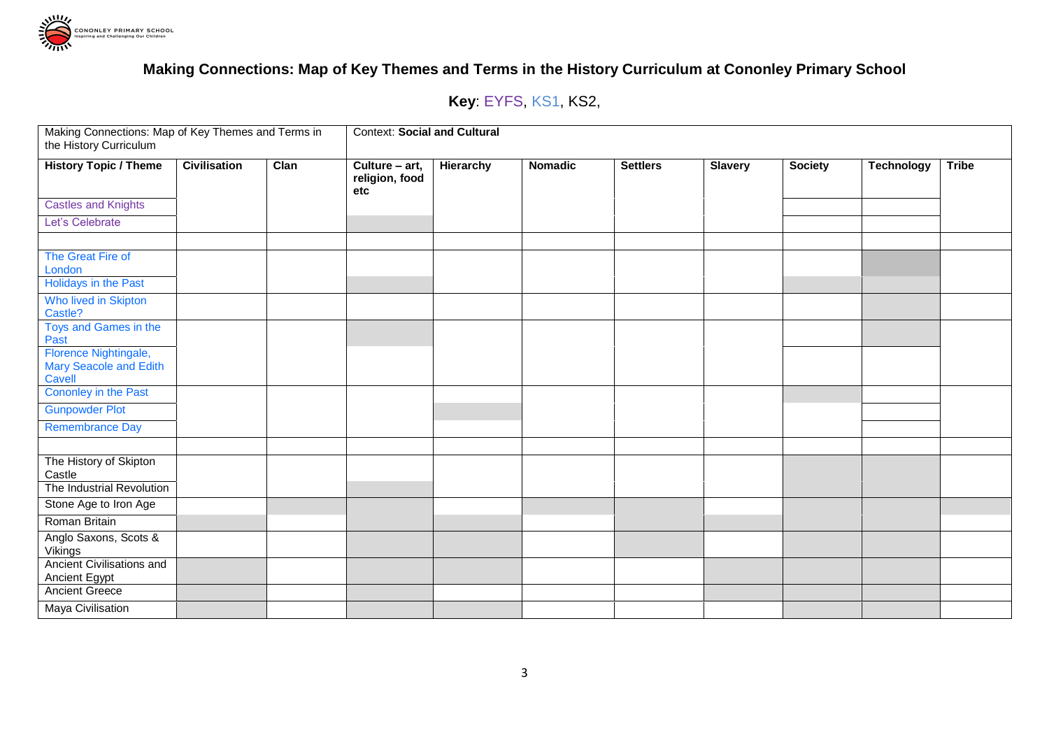

# **Key**: EYFS, KS1, KS2,

| Making Connections: Map of Key Themes and Terms in<br>the History Curriculum |                     |      | <b>Context: Social and Cultural</b>     |                  |                |                 |                |                |                   |              |  |
|------------------------------------------------------------------------------|---------------------|------|-----------------------------------------|------------------|----------------|-----------------|----------------|----------------|-------------------|--------------|--|
| <b>History Topic / Theme</b>                                                 | <b>Civilisation</b> | Clan | Culture - art,<br>religion, food<br>etc | <b>Hierarchy</b> | <b>Nomadic</b> | <b>Settlers</b> | <b>Slavery</b> | <b>Society</b> | <b>Technology</b> | <b>Tribe</b> |  |
| <b>Castles and Knights</b>                                                   |                     |      |                                         |                  |                |                 |                |                |                   |              |  |
| Let's Celebrate                                                              |                     |      |                                         |                  |                |                 |                |                |                   |              |  |
|                                                                              |                     |      |                                         |                  |                |                 |                |                |                   |              |  |
| The Great Fire of<br>London                                                  |                     |      |                                         |                  |                |                 |                |                |                   |              |  |
| Holidays in the Past                                                         |                     |      |                                         |                  |                |                 |                |                |                   |              |  |
| Who lived in Skipton<br>Castle?                                              |                     |      |                                         |                  |                |                 |                |                |                   |              |  |
| Toys and Games in the<br>Past                                                |                     |      |                                         |                  |                |                 |                |                |                   |              |  |
| Florence Nightingale,<br>Mary Seacole and Edith<br>Cavell                    |                     |      |                                         |                  |                |                 |                |                |                   |              |  |
| Cononley in the Past                                                         |                     |      |                                         |                  |                |                 |                |                |                   |              |  |
| <b>Gunpowder Plot</b>                                                        |                     |      |                                         |                  |                |                 |                |                |                   |              |  |
| <b>Remembrance Day</b>                                                       |                     |      |                                         |                  |                |                 |                |                |                   |              |  |
|                                                                              |                     |      |                                         |                  |                |                 |                |                |                   |              |  |
| The History of Skipton<br>Castle                                             |                     |      |                                         |                  |                |                 |                |                |                   |              |  |
| The Industrial Revolution                                                    |                     |      |                                         |                  |                |                 |                |                |                   |              |  |
| Stone Age to Iron Age                                                        |                     |      |                                         |                  |                |                 |                |                |                   |              |  |
| Roman Britain                                                                |                     |      |                                         |                  |                |                 |                |                |                   |              |  |
| Anglo Saxons, Scots &<br>Vikings                                             |                     |      |                                         |                  |                |                 |                |                |                   |              |  |
| Ancient Civilisations and<br><b>Ancient Egypt</b>                            |                     |      |                                         |                  |                |                 |                |                |                   |              |  |
| <b>Ancient Greece</b>                                                        |                     |      |                                         |                  |                |                 |                |                |                   |              |  |
| Maya Civilisation                                                            |                     |      |                                         |                  |                |                 |                |                |                   |              |  |